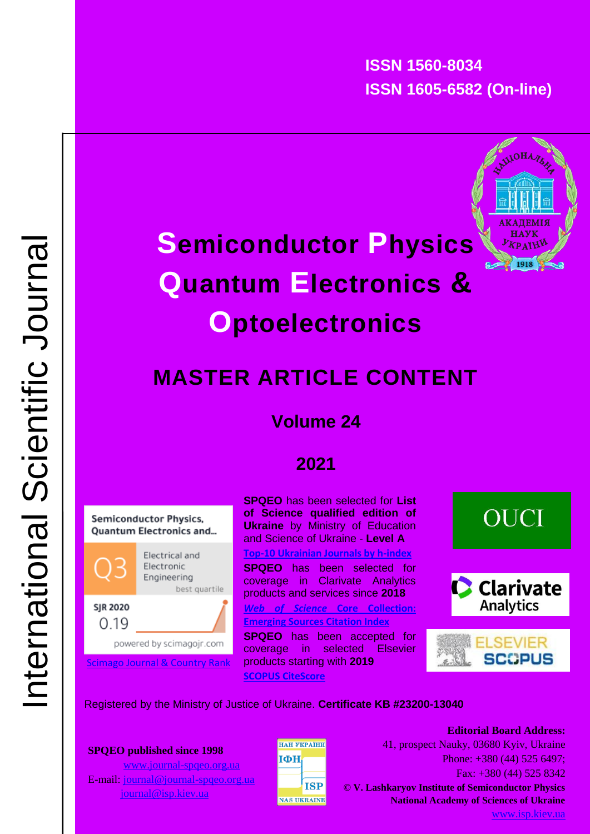**ISSN 1560-8034 ISSN 1605-6582 (On-line)**



# **Semiconductor Physics Quantum Electronics & Optoelectronics**

## **MASTER ARTICLE CONTENT**

## **Volume 24**

## **2021**



powered by scimagojr.com

[Scimago Journal & Country Rank](https://www.scimagojr.com/journalsearch.php?q=21100911934&tip=sid&clean=0)

**SPQEO** has been selected for **List of Science qualified edition of Ukraine** by Ministry of Education and Science of Ukraine - **Level A [Top-10 Ukrainian Journals by h-index](https://ouci.dntb.gov.ua/en/stat/) SPQEO** has been selected for coverage in Clarivate Analytics products and services since **2018** *[Web of Science](https://mjl.clarivate.com/search-results)* **Core Collection: [Emerging Sources Citation Index](https://mjl.clarivate.com/search-results) SPQEO** has been accepted for coverage in selected Elsevier products starting with **2019 [SCOPUS CiteScore](https://www.scopus.com/sourceid/21100911934)**

## **OUCI**





#### Registered by the Ministry of Justice of Ukraine. **Certificate KB #23200-13040**

#### **SPQEO published since 1998**

 [www.journal-spqeo.org.ua](http://www.journal-spqeo.org.ua/) E-mail: [journal@journal-spqeo.org.ua](mailto:journal@journal-spqeo.org.ua) [journal@isp.kiev.ua](mailto:journal@isp.kiev.ua)



Fax: +380 (44) 525 8342 **Editorial Board Address:** 41, prospect Nauky, 03680 Kyiv, Ukraine Phone: +380 (44) 525 6497; **© V. Lashkaryov Institute of Semiconductor Physics National Academy of Sciences of Ukraine**

[www.isp.kiev.ua](http://www.isp.kiev.ua/)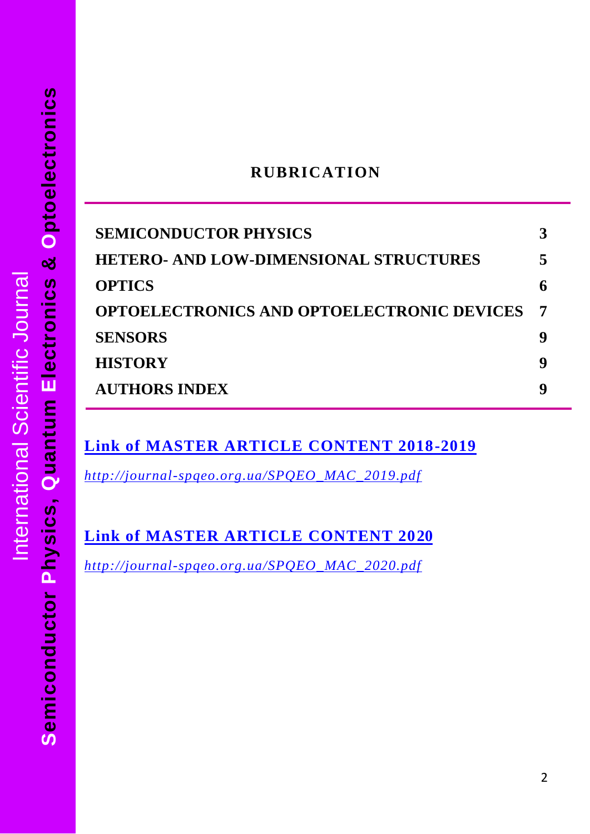#### **RUBRICATION**

| <b>SEMICONDUCTOR PHYSICS</b>                      |   |
|---------------------------------------------------|---|
| <b>HETERO- AND LOW-DIMENSIONAL STRUCTURES</b>     |   |
| <b>OPTICS</b>                                     |   |
| <b>OPTOELECTRONICS AND OPTOELECTRONIC DEVICES</b> |   |
| <b>SENSORS</b>                                    |   |
| <b>HISTORY</b>                                    | g |
| <b>AUTHORS INDEX</b>                              |   |
|                                                   |   |

### **[Link of MASTER ARTICLE CONTENT 2018-2019](http://journal-spqeo.org.ua/SPQEO_MAC_2019.pdf)**

*[http://journal-spqeo.org.ua/SPQEO\\_MAC\\_2019.pdf](http://journal-spqeo.org.ua/SPQEO_MAC_2019.pdf)*

**[Link of MASTER ARTICLE CONTENT 2020](http://journal-spqeo.org.ua/SPQEO_MAC_2020.pdf)**

*[http://journal-spqeo.org.ua/SPQEO\\_MAC\\_2020.pdf](http://journal-spqeo.org.ua/SPQEO_MAC_2020.pdf)*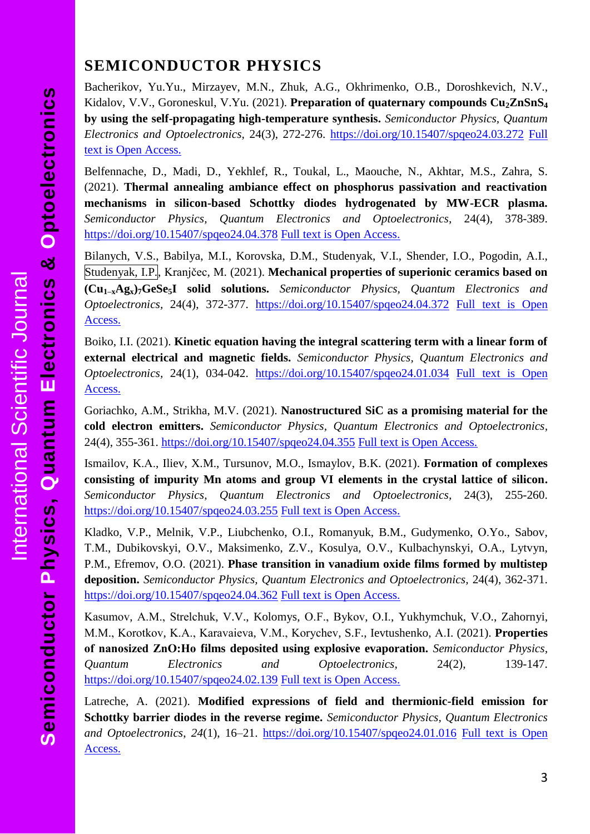### <span id="page-2-0"></span>**SEMICONDUCTOR PHYSICS**

Bacherikov, Yu.Yu., Mirzayev, M.N., Zhuk, A.G., Okhrimenko, O.B., Doroshkevich, N.V., Kidalov, V.V., Goroneskul, V.Yu. (2021). **Preparation of quaternary compounds Cu2ZnSnS<sup>4</sup> by using the self-propagating high-temperature synthesis.** *Semiconductor Physics, Quantum Electronics and Optoelectronics,* 24(3), 272-276.<https://doi.org/10.15407/spqeo24.03.272> [Full](http://journal-spqeo.org.ua/n3_2021/P272-276abstr.html)  [text is Open Access.](http://journal-spqeo.org.ua/n3_2021/P272-276abstr.html)

Belfennache, D., Madi, D., Yekhlef, R., Toukal, L., Maouche, N., Akhtar, M.S., Zahra, S. (2021). **Thermal annealing ambiance effect on phosphorus passivation and reactivation mechanisms in silicon-based Schottky diodes hydrogenated by MW-ECR plasma.** *Semiconductor Physics, Quantum Electronics and Optoelectronics,* 24(4), 378-389. <https://doi.org/10.15407/spqeo24.04.378> [Full text is Open Access.](http://journal-spqeo.org.ua/n4_2021/P378-389abstr.html)

Bilanych, V.S., Babilya, M.I., Korovska, D.M., Studenyak, V.I., Shender, I.O., Pogodin, A.I., Studenyak, I.P., Kranjčec, M. (2021). **Mechanical properties of superionic ceramics based on (Cu1–xAgx)7GeSe5I solid solutions.** *Semiconductor Physics, Quantum Electronics and Optoelectronics,* 24(4), 372-377. <https://doi.org/10.15407/spqeo24.04.372> [Full text is Open](http://journal-spqeo.org.ua/n4_2021/P372-377abstr.html)  [Access.](http://journal-spqeo.org.ua/n4_2021/P372-377abstr.html)

Boiko, I.I. (2021). **Kinetic equation having the integral scattering term with a linear form of external electrical and magnetic fields.** *Semiconductor Physics, Quantum Electronics and Optoelectronics,* 24(1), 034-042. <https://doi.org/10.15407/spqeo24.01.034> [Full text is Open](http://journal-spqeo.org.ua/n1_2021/P34-42abstr.html)  [Access.](http://journal-spqeo.org.ua/n1_2021/P34-42abstr.html)

Goriachko, A.M., Strikha, M.V. (2021). **Nanostructured SiC as a promising material for the cold electron emitters.** *Semiconductor Physics, Quantum Electronics and Optoelectronics,* 24(4), 355-361. <https://doi.org/10.15407/spqeo24.04.355> Full text [is Open Access.](http://journal-spqeo.org.ua/n4_2021/P355-361abstr.html)

Ismailov, K.А., Iliev, X.M., Tursunov, M.O., Ismaylov, B.K. (2021). **Formation of complexes consisting of impurity Mn atoms and group VI elements in the crystal lattice of silicon.** *Semiconductor Physics, Quantum Electronics and Optoelectronics,* 24(3), 255-260. <https://doi.org/10.15407/spqeo24.03.255> [Full text is Open Access.](http://journal-spqeo.org.ua/n3_2021/P255-260abstr.html)

Kladko, V.P., Melnik, V.P., Liubchenko, О.I., Romanyuk, B.M., Gudymenko, О.Yo., Sabov, Т.M., Dubikovskyi, О.V., Maksimenko, Z.V., Kosulya, О.V., Kulbachynskyi, O.A., Lytvyn, P.M., Efremov, О.O. (2021). **Phase transition in vanadium oxide films formed by multistep deposition.** *Semiconductor Physics, Quantum Electronics and Optoelectronics,* 24(4), 362-371. <https://doi.org/10.15407/spqeo24.04.362> Full text [is Open Access.](http://journal-spqeo.org.ua/n4_2021/P362-371abstr.html)

Kаsumov, А.М., Strelchuk, V.V., Kolomys, О.F., Bykov, О.І., Yukhymchuk, V.О., Zahornyi, М.М., Kоrotkov, K.А., Kаravaieva, V.М., Kоrychev, S.F., Ievtushenko, А.І. (2021). **Properties of nanosized ΖnO:Ho films deposited using explosive evaporation.** *Semiconductor Physics, Quantum Electronics and Optoelectronics,* 24(2), 139-147. <https://doi.org/10.15407/spqeo24.02.139> [Full text is Open Access.](http://journal-spqeo.org.ua/n2_2021/P139-147abstr.html)

Latreche, A. (2021). **Modified expressions of field and thermionic-field emission for Schottky barrier diodes in the reverse regime.** *Semiconductor Physics, Quantum Electronics and Optoelectronics*, *24*(1), 16–21.<https://doi.org/10.15407/spqeo24.01.016> [Full text is Open](http://journal-spqeo.org.ua/n1_2021/P16-21abstr.html)  [Access.](http://journal-spqeo.org.ua/n1_2021/P16-21abstr.html)

 $\overline{S}$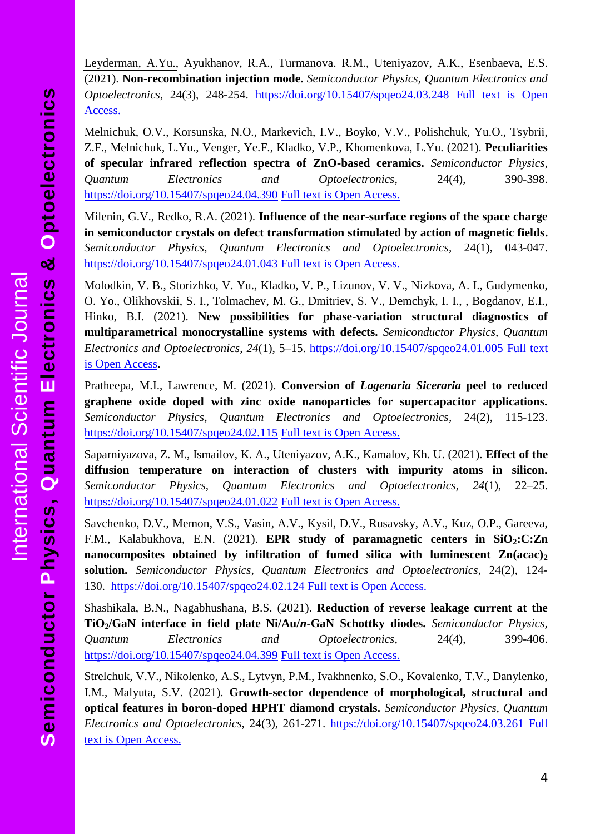Leyderman, A.Yu., Ayukhanov, R.A., Turmanova. R.M., Uteniyazov, A.K., Esenbaeva, E.S. (2021). **Non-recombination injection mode.** *Semiconductor Physics, Quantum Electronics and Optoelectronics,* 24(3), 248-254. <https://doi.org/10.15407/spqeo24.03.248> [Full text is Open](http://journal-spqeo.org.ua/n3_2021/P248-254abstr.html)  [Access.](http://journal-spqeo.org.ua/n3_2021/P248-254abstr.html)

Melnichuk, O.V., Korsunska, N.O., Markevich, I.V., Boyko, V.V., Polishchuk, Yu.O., Tsybrii, Z.F., Melnichuk, L.Yu., Venger, Ye.F., Kladko, V.P., Khomenkova, L.Yu. (2021). **Peculiarities of specular infrared reflection spectra of ZnO-based ceramics.** *Semiconductor Physics, Quantum Electronics and Optoelectronics,* 24(4), 390-398. <https://doi.org/10.15407/spqeo24.04.390> [Full text is Open Access.](http://journal-spqeo.org.ua/n4_2021/P390-398abstr.html)

Milenin, G.V., Redko, R.A. (2021). **Influence of the near-surface regions of the space charge in semiconductor crystals on defect transformation stimulated by action of magnetic fields.** *Semiconductor Physics, Quantum Electronics and Optoelectronics,* 24(1), 043-047. <https://doi.org/10.15407/spqeo24.01.043> [Full text is Open Access.](http://journal-spqeo.org.ua/n1_2021/P43-47abstr.html)

Molodkin, V. B., Storizhko, V. Yu., Kladko, V. P., Lizunov, V. V., Nizkova, A. I., Gudymenko, O. Yo., Olikhovskii, S. I., Tolmachev, M. G., Dmitriev, S. V., Demchyk, I. I., , Bogdanov, E.I., Hinko, B.I. (2021). **New possibilities for phase-variation structural diagnostics of multiparametrical monocrystalline systems with defects.** *Semiconductor Physics, Quantum Electronics and Optoelectronics*, *24*(1), 5–15.<https://doi.org/10.15407/spqeo24.01.005> [Full text](http://journal-spqeo.org.ua/n1_2021/P5-15abstr.html)  [is Open Access.](http://journal-spqeo.org.ua/n1_2021/P5-15abstr.html)

Pratheepa, M.I., Lawrence, M. (2021). **Conversion of** *Lagenaria Siceraria* **peel to reduced graphene oxide doped with zinc oxide nanoparticles for supercapacitor applications.** *Semiconductor Physics, Quantum Electronics and Optoelectronics,* 24(2), 115-123. <https://doi.org/10.15407/spqeo24.02.115> [Full text is Open Access.](http://journal-spqeo.org.ua/n2_2021/P115-123abstr.html)

Saparniyazova, Z. M., Ismailov, K. A., Uteniyazov, A.K., Kamalov, Kh. U. (2021). **Effect of the diffusion temperature on interaction of clusters with impurity atoms in silicon.** *Semiconductor Physics, Quantum Electronics and Optoelectronics*, *24*(1), 22–25. <https://doi.org/10.15407/spqeo24.01.022> [Full text is Open Access.](http://journal-spqeo.org.ua/n1_2021/P22-25abstr.html)

Savchenko, D.V., Memon, V.S., Vasin, A.V., Kysil, D.V., Rusavsky, A.V., Kuz, O.P., Gareeva, F.M., Kalabukhova, E.N. (2021). **EPR study of paramagnetic centers in SiO2:C:Zn nanocomposites obtained by infiltration of fumed silica with luminescent Zn(acac)<sup>2</sup> solution.** *Semiconductor Physics, Quantum Electronics and Optoelectronics,* 24(2), 124- 130. <https://doi.org/10.15407/spqeo24.02.124> [Full text is Open Access.](http://journal-spqeo.org.ua/n2_2021/P124-130abstr.html)

Shashikala, B.N., Nagabhushana, B.S. (2021). **Reduction of reverse leakage current at the TiO2/GaN interface in field plate Ni/Au/***n***-GaN Schottky diodes.** *Semiconductor Physics, Quantum Electronics and Optoelectronics,* 24(4), 399-406. <https://doi.org/10.15407/spqeo24.04.399> [Full text is Open Access.](http://journal-spqeo.org.ua/n4_2021/P399-406abstr.html)

Strelchuk, V.V., Nikolenko, A.S., Lytvyn, P.M., Ivakhnenko, S.O., Kovalenko, T.V., Danylenko, I.M., Malyuta, S.V. (2021). **Growth-sector dependence of morphological, structural and optical features in boron-doped HPHT diamond crystals.** *Semiconductor Physics, Quantum Electronics and Optoelectronics*, 24(3), 261-271.<https://doi.org/10.15407/spqeo24.03.261> [Full](http://journal-spqeo.org.ua/n3_2021/P261-271abstr.html)  [text is Open Access.](http://journal-spqeo.org.ua/n3_2021/P261-271abstr.html)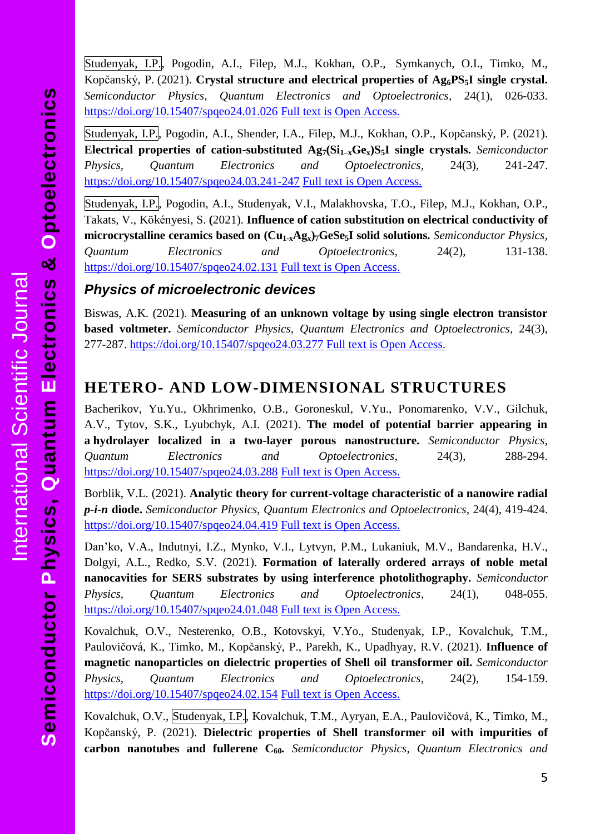Studenyak, I.P., Pogodin, A.I., Filep, M.J., Kokhan, O.P., Symkanych, O.I., Timko, M., Kopčanský, P. (2021). **Crystal structure and electrical properties of Ag6PS5I single crystal.** *Semiconductor Physics, Quantum Electronics and Optoelectronics,* 24(1), 026-033. <https://doi.org/10.15407/spqeo24.01.026> [Full text is Open Access.](http://journal-spqeo.org.ua/n1_2021/P26-33abstr.html)

Studenyak, I.P., Pogodin, A.I., Shender, I.A., Filep, M.J., Kokhan, O.P., Kopčanský, P. (2021). **Electrical properties of cation-substituted Ag7(Si1–xGex)S5I single crystals.** *Semiconductor Physics, Quantum Electronics and Optoelectronics,* 24(3), 241-247. [https://doi.org/10.15407/spqeo24.03.241-247](https://doi.org/10.15407/spqeo24.03.241) [Full text is Open Access.](http://journal-spqeo.org.ua/n3_2021/P241-247abstr.html)

Studenyak, I.P., Pogodin, A.I., Studenyak, V.I., Malakhovska, T.O., Filep, M.J., Kokhan, O.P., Takats, V., Kökényesi, S. **(**2021). **Influence of cation substitution on electrical conductivity of microcrystalline ceramics based on (Cu1-xAgx)7GeSe5I solid solutions.** *Semiconductor Physics, Quantum Electronics and Optoelectronics,* 24(2), 131-138. <https://doi.org/10.15407/spqeo24.02.131> [Full text is Open Access.](http://journal-spqeo.org.ua/n2_2021/P131-138abstr.html)

#### *Physics of microelectronic devices*

Biswas, A.K. (2021). **Measuring of an unknown voltage by using single electron transistor based voltmeter.** *Semiconductor Physics, Quantum Electronics and Optoelectronics,* 24(3), 277-287. <https://doi.org/10.15407/spqeo24.03.277> [Full text is Open Access.](http://journal-spqeo.org.ua/n3_2021/P277-287abstr.html)

#### <span id="page-4-0"></span>**HETERO- AND LOW-DIMENSIONAL STRUCTURES**

Bacherikov, Yu.Yu., Okhrimenko, O.B., Goroneskul, V.Yu., Ponomarenko, V.V., Gilchuk, A.V., Tytov, S.K., Lyubchyk, A.I. (2021). **The model of potential barrier appearing in a hydrolayer localized in a two-layer porous nanostructure.** *Semiconductor Physics, Quantum Electronics and Optoelectronics,* 24(3), 288-294. <https://doi.org/10.15407/spqeo24.03.288> [Full text is Open Access.](http://journal-spqeo.org.ua/n3_2021/P288-294abstr.html)

Borblik, V.L. (2021). **Analytic theory for current-voltage characteristic of a nanowire radial**  *p-i-n* **diode.** *Semiconductor Physics, Quantum Electronics and Optoelectronics,* 24(4), 419-424. <https://doi.org/10.15407/spqeo24.04.419> [Full text is Open Access.](http://journal-spqeo.org.ua/n4_2021/P419-424abstr.html)

Dan'ko, V.A., Indutnyi, I.Z., Mynko, V.I., Lytvyn, P.M., Lukaniuk, M.V., Bandarenka, H.V., Dolgyi, A.L., Redko, S.V. (2021). **Formation of laterally ordered arrays of noble metal nanocavities for SERS substrates by using interference photolithography.** *Semiconductor Physics, Quantum Electronics and Optoelectronics,* 24(1), 048-055. <https://doi.org/10.15407/spqeo24.01.048> [Full text is Open Access.](http://journal-spqeo.org.ua/n1_2021/P48-55abstr.html)

Kovalchuk, O.V., Nesterenko, O.B., Kotovskyi, V.Yo., Studenyak, I.P., Kovalchuk, T.M., Paulovičová, K., Timko, M., Kopčanský, P., Parekh, K., Upadhyay, R.V. (2021). **Influence of magnetic nanoparticles on dielectric properties of Shell oil transformer oil.** *Semiconductor Physics, Quantum Electronics and Optoelectronics,* 24(2), 154-159. <https://doi.org/10.15407/spqeo24.02.154> [Full text is Open Access.](http://journal-spqeo.org.ua/n2_2021/P154-159abstr.html)

Kovalchuk, O.V., Studenyak, I.P., Kovalchuk, T.M., Ayryan, E.A., Paulovičová, K., Timko, M., Kopčanský, P. (2021). **Dielectric properties of Shell transformer oil with impurities of carbon nanotubes and fullerene C60***. Semiconductor Physics, Quantum Electronics and*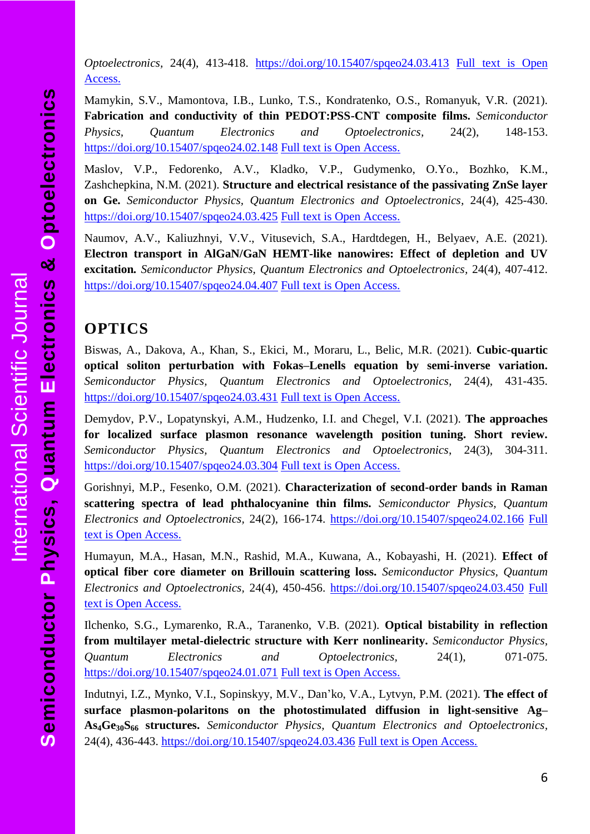*Optoelectronics,* 24(4), 413-418. [https://doi.org/10.15407/spqeo24.03.413](https://doi.org/10.15407/spqeo24.04.413) [Full text is Open](http://journal-spqeo.org.ua/n4_2021/P413-418abstr.html)  [Access.](http://journal-spqeo.org.ua/n4_2021/P413-418abstr.html)

Mamykin, S.V., Mamontova, I.B., Lunko, T.S., Kondratenko, O.S., Romanyuk, V.R. (2021). **Fabrication and conductivity of thin PEDOT:PSS-CNT composite films.** *Semiconductor Physics, Quantum Electronics and Optoelectronics,* 24(2), 148-153. <https://doi.org/10.15407/spqeo24.02.148> [Full text is Open Access.](http://journal-spqeo.org.ua/n2_2021/P148-153abstr.html)

Maslov, V.P., Fedorenko, A.V., Kladko, V.P., Gudymenko, O.Yo., Bozhko, K.M., Zashchepkina, N.M. (2021). **Structure and electrical resistance of the passivating ZnSe layer on Ge.** *Semiconductor Physics, Quantum Electronics and Optoelectronics,* 24(4), 425-430. [https://doi.org/10.15407/spqeo24.03.425](https://doi.org/10.15407/spqeo24.04.425) [Full text is Open Access.](http://journal-spqeo.org.ua/n4_2021/P425-430abstr.html)

Naumov, A.V., Kaliuzhnyi, V.V., Vitusevich, S.A., Hardtdegen, H., Belyaev, A.E. (2021). **Electron transport in AlGaN/GaN HEMT-like nanowires: Effect of depletion and UV excitation***. Semiconductor Physics, Quantum Electronics and Optoelectronics,* 24(4), 407-412. <https://doi.org/10.15407/spqeo24.04.407> Full text [is Open Access.](http://journal-spqeo.org.ua/n4_2021/P407-412abstr.html)

#### <span id="page-5-0"></span>**OPTICS**

Biswas, A., Dakova, A., Khan, S., Ekici, M., Moraru, L., Belic, M.R. (2021). **Cubic-quartic optical soliton perturbation with Fokas–Lenells equation by semi-inverse variation.**  *Semiconductor Physics, Quantum Electronics and Optoelectronics,* 24(4), 431-435. [https://doi.org/10.15407/spqeo24.03.431](https://doi.org/10.15407/spqeo24.04.431) [Full text is Open Access.](http://journal-spqeo.org.ua/n4_2021/P431-435abstr.html)

Demydov, P.V., Lopatynskyi, A.M., Hudzenko, І.І. and Chegel, V.I. (2021). **The approaches for localized surface plasmon resonance wavelength position tuning. Short review.** *Semiconductor Physics, Quantum Electronics and Optoelectronics*, 24(3), 304-311. <https://doi.org/10.15407/spqeo24.03.304> [Full text is Open Access.](http://journal-spqeo.org.ua/n3_2021/P304-311abstr.html)

Gorishnyi, M.P., Fesenko, O.M. (2021). **Characterization of second-order bands in Raman scattering spectra of lead phthalocyanine thin films.** *Semiconductor Physics, Quantum Electronics and Optoelectronics,* 24(2), 166-174.<https://doi.org/10.15407/spqeo24.02.166> [Full](http://journal-spqeo.org.ua/n2_2021/P166-174abstr.html)  [text is Open Access.](http://journal-spqeo.org.ua/n2_2021/P166-174abstr.html)

Humayun, M.A., Hasan, M.N., Rashid, M.A., Kuwana, A., Kobayashi, H. (2021). **Effect of optical fiber core diameter on Brillouin scattering loss.** *Semiconductor Physics, Quantum Electronics and Optoelectronics,* 24(4), 450-456. [https://doi.org/10.15407/spqeo24.03.450](https://doi.org/10.15407/spqeo24.04.450) [Full](http://journal-spqeo.org.ua/n4_2021/P450-456abstr.html)  [text is Open Access.](http://journal-spqeo.org.ua/n4_2021/P450-456abstr.html)

Ilchenko, S.G., Lymarenko, R.A., Taranenko, V.B. (2021). **Optical bistability in reflection from multilayer metal-dielectric structure with Kerr nonlinearity.** *Semiconductor Physics, Quantum Electronics and Optoelectronics,* 24(1), 071-075. <https://doi.org/10.15407/spqeo24.01.071> [Full text is Open Access.](http://journal-spqeo.org.ua/n1_2021/P71-75abstr.html)

Indutnyi, I.Z., Mynko, V.I., Sopinskyy, M.V., Dan'ko, V.A., Lytvyn, P.M. (2021). **The effect of surface plasmon-polaritons on the photostimulated diffusion in light-sensitive Ag– As4Ge30S<sup>66</sup> structures.** *Semiconductor Physics, Quantum Electronics and Optoelectronics,* 24(4), 436-443. [https://doi.org/10.15407/spqeo24.03.436](https://doi.org/10.15407/spqeo24.04.436) [Full text is Open Access.](http://journal-spqeo.org.ua/n4_2021/P436-443abstr.html)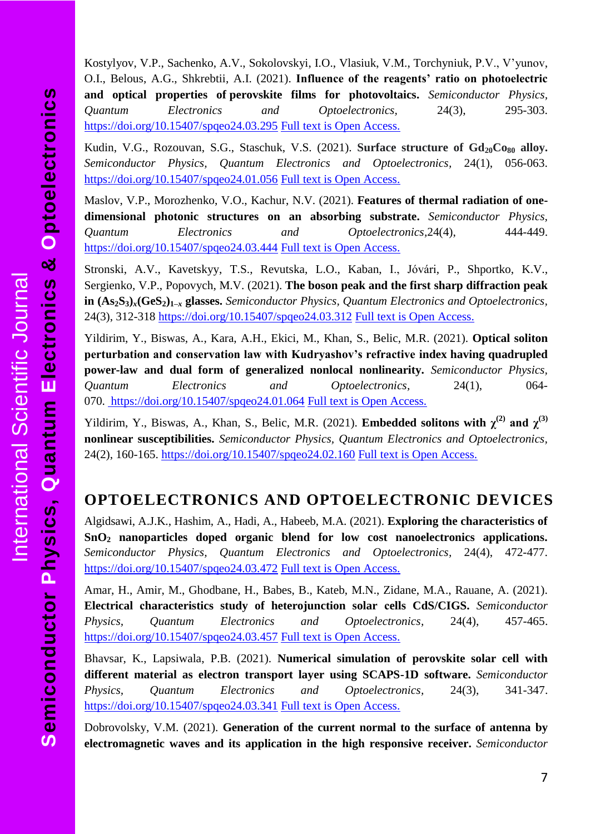Kostylyov, V.P., Sachenko, A.V., Sokolovskyi, I.O., Vlasiuk, V.M., Torchyniuk, P.V., V'yunov, O.I., Belous, A.G., Shkrebtii, A.I. (2021). **Influence of the reagents' ratio on photoelectric and optical properties of perovskite films for photovoltaics.** *Semiconductor Physics, Quantum Electronics and Optoelectronics,* 24(3), 295-303. <https://doi.org/10.15407/spqeo24.03.295> [Full text is Open Access.](http://journal-spqeo.org.ua/n3_2021/P295-303abstr.html)

Kudin, V.G., Rozouvan, S.G., Staschuk, V.S. (2021). **Surface structure of Gd20Co<sup>80</sup> alloy.** *Semiconductor Physics, Quantum Electronics and Optoelectronics,* 24(1), 056-063. <https://doi.org/10.15407/spqeo24.01.056> [Full text is Open Access.](http://journal-spqeo.org.ua/n1_2021/P56-63abstr.html)

Maslov, V.P., Morozhenko, V.O., Kachur, N.V. (2021). **Features of thermal radiation of onedimensional photonic structures on an absorbing substrate.** *Semiconductor Physics, Quantum Electronics and Optoelectronics,*24(4), 444-449. [https://doi.org/10.15407/spqeo24.03.444](https://doi.org/10.15407/spqeo24.04.444) [Full text is Open Access.](http://journal-spqeo.org.ua/n4_2021/P444-449abstr.html)

Stronski, A.V., Kavetskyy, T.S., Revutska, L.O., Kaban, I., Jóvári, P., Shportko, K.V., Sergienko, V.P., Popovych, M.V. (2021). **The boson peak and the first sharp diffraction peak in (As2S3)***x***(GeS2)1–***<sup>x</sup>* **glasses.** *Semiconductor Physics, Quantum Electronics and Optoelectronics,* 24(3), 312-318<https://doi.org/10.15407/spqeo24.03.312> [Full text is Open Access.](http://journal-spqeo.org.ua/n3_2021/P312-318abstr.html)

Yildirim, Y., Biswas, A., Kara, A.H., Ekici, M., Khan, S., Belic, M.R. (2021). **Optical soliton perturbation and conservation law with Kudryashov's refractive index having quadrupled power-law and dual form of generalized nonlocal nonlinearity.** *Semiconductor Physics, Quantum Electronics and Optoelectronics,* 24(1), 064 070.<https://doi.org/10.15407/spqeo24.01.064> [Full text is Open Access.](http://journal-spqeo.org.ua/n1_2021/P64-70abstr.html)

Yildirim, Y., Biswas, A., Khan, S., Belic, M.R. (2021). **Embedded solitons with**  $\chi^{(2)}$  **and**  $\chi^{(3)}$ **nonlinear susceptibilities.** *Semiconductor Physics, Quantum Electronics and Optoelectronics,* 24(2), 160-165.<https://doi.org/10.15407/spqeo24.02.160> [Full text is Open Access.](http://journal-spqeo.org.ua/n2_2021/P160-165abstr.html)

#### <span id="page-6-0"></span>**OPTOELECTRONICS AND OPTOELECTRONIC DEVICES**

Algidsawi, A.J.K., Hashim, A., Hadi, A., Habeeb, M.A. (2021). **Exploring the characteristics of SnO<sup>2</sup> nanoparticles doped organic blend for low cost nanoelectronics applications.**  *Semiconductor Physics, Quantum Electronics and Optoelectronics,* 24(4), 472-477. [https://doi.org/10.15407/spqeo24.03.472](https://doi.org/10.15407/spqeo24.04.472) [Full text is Open Access.](http://journal-spqeo.org.ua/n4_2021/P472-477abstr.html)

Amar, H., Amir, M., Ghodbane, H., Babes, B., Kateb, M.N., Zidane, M.A., Rauane, A. (2021). **Electrical сharacteristics study of heterojunction solar сells CdS/CIGS.** *Semiconductor Physics, Quantum Electronics and Optoelectronics,* 24(4), 457-465. [https://doi.org/10.15407/spqeo24.03.457](https://doi.org/10.15407/spqeo24.04.457) [Full text is Open Access.](http://journal-spqeo.org.ua/n4_2021/P457-465abstr.html)

Bhavsar, K., Lapsiwala, P.B. (2021). **Numerical simulation of perovskite solar cell with different material as electron transport layer using SCAPS-1D software.** *Semiconductor Physics, Quantum Electronics and Optoelectronics,* 24(3), 341-347. <https://doi.org/10.15407/spqeo24.03.341> [Full text is Open Access.](http://journal-spqeo.org.ua/n3_2021/P341-347abstr.html)

Dobrovolsky, V.M. (2021). **Generation of the current normal to the surface of antenna by electromagnetic waves and its application in the high responsive receiver.** *Semiconductor*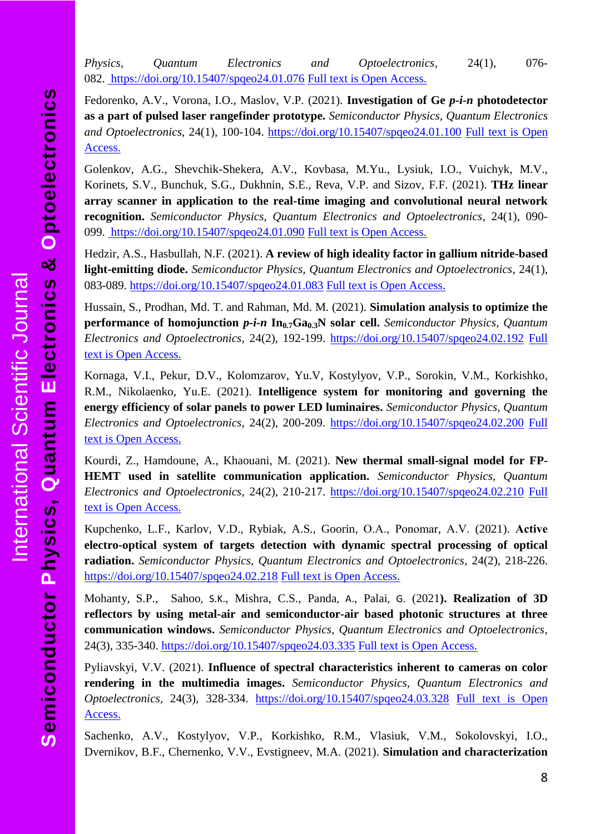**Optoelectronics OptoelectronicsElectronics &**  න් [International Scientific Journal](http://journal-spqeo.org.ua/) International Scientific Journal **Quantum Physics, Semiconductor** 

*Physics, Quantum Electronics and Optoelectronics,* 24(1), 076- 082.<https://doi.org/10.15407/spqeo24.01.076> [Full text is Open Access.](http://journal-spqeo.org.ua/n1_2021/P76-82abstr.html)

Fedorenko, A.V., Vorona, I.O., Maslov, V.P. (2021). **Investigation of Ge** *p-i-n* **photodetector as a part of pulsed laser rangefinder prototype.** *Semiconductor Physics, Quantum Electronics and Optoelectronics,* 24(1), 100-104.<https://doi.org/10.15407/spqeo24.01.100> [Full text is Open](http://journal-spqeo.org.ua/n1_2021/P100-104abstr.html)  [Access.](http://journal-spqeo.org.ua/n1_2021/P100-104abstr.html)

Golenkov, A.G., Shevchik-Shekera, A.V., Kovbasa, M.Yu., Lysiuk, I.O., Vuichyk, M.V., Korinets, S.V., Bunchuk, S.G., Dukhnin, S.E., Reva, V.P. and Sizov, F.F. (2021). **THz linear array scanner in application to the real-time imaging and convolutional neural network recognition.** *Semiconductor Physics, Quantum Electronics and Optoelectronics,* 24(1), 090- 099.<https://doi.org/10.15407/spqeo24.01.090> [Full text is Open Access.](http://journal-spqeo.org.ua/n1_2021/P90-99abstr.html)

Hedzir, A.S., Hasbullah, N.F. (2021). **A review of high ideality factor in gallium nitride-based light-emitting diode.** *Semiconductor Physics, Quantum Electronics and Optoelectronics,* 24(1), 083-089.<https://doi.org/10.15407/spqeo24.01.083> [Full text is Open Access.](http://journal-spqeo.org.ua/n1_2021/P83-89abstr.html)

Hussain, S., Prodhan, Md. T. and Rahman, Md. M. (2021). **Simulation analysis to optimize the performance of homojunction** *p-i-n* **In0.7Ga0.3N solar cell.** *Semiconductor Physics, Quantum Electronics and Optoelectronics,* 24(2), 192-199.<https://doi.org/10.15407/spqeo24.02.192> [Full](http://journal-spqeo.org.ua/n2_2021/P192-199abstr.html)  [text is Open Access.](http://journal-spqeo.org.ua/n2_2021/P192-199abstr.html)

Kornaga, V.I., Pekur, D.V., Kolomzarov, Yu.V, Kostylyov, V.P., Sorokin, V.M., Korkishko, R.M., Nikolaenko, Yu.E. (2021). **Intelligence system for monitoring and governing the energy efficiency of solar panels to power LED luminaires.** *Semiconductor Physics, Quantum Electronics and Optoelectronics,* 24(2), 200-209.<https://doi.org/10.15407/spqeo24.02.200> [Full](http://journal-spqeo.org.ua/n2_2021/P200-209abstr.html)  [text is Open Access.](http://journal-spqeo.org.ua/n2_2021/P200-209abstr.html)

Kourdi, Z., Hamdoune, A., Khaouani, M. (2021). **New thermal small-signal model for FP-HEMT used in satellite communication application.** *Semiconductor Physics, Quantum Electronics and Optoelectronics,* 24(2), 210-217.<https://doi.org/10.15407/spqeo24.02.210> [Full](http://journal-spqeo.org.ua/n2_2021/P210-217abstr.html)  [text is Open Access.](http://journal-spqeo.org.ua/n2_2021/P210-217abstr.html)

Kupchenko, L.F., Karlov, V.D., Rybiak, A.S., Goorin, О.А., Ponomar, А.V. (2021). **Aсtive electro-optical system of targets detection with dynamic spectral processing of optical radiation.** *Semiconductor Physics, Quantum Electronics and Optoelectronics,* 24(2), 218-226. <https://doi.org/10.15407/spqeo24.02.218> [Full text is Open Access.](http://journal-spqeo.org.ua/n2_2021/P218-226abstr.html)

[Mohanty,](https://www.sciencedirect.com/science/article/pii/S0030402619303742#!) S.P., [Sahoo](https://www.sciencedirect.com/science/article/pii/S0030402619303742#!), S.K., Mishra, C.S., [Panda](https://www.sciencedirect.com/science/article/pii/S0030402619303742#!), A., [Palai](https://www.sciencedirect.com/science/article/pii/S0030402619303742#!), G. (2021**). Realization of 3D reflectors by using metal-air and semiconductor-air based photonic structures at three communication windows.** *Semiconductor Physics, Quantum Electronics and Optoelectronics,* 24(3), 335-340.<https://doi.org/10.15407/spqeo24.03.335> [Full text is Open Access.](http://journal-spqeo.org.ua/n3_2021/P335-340abstr.html)

Pyliavskyi, V.V. (2021). **Influence of spectral characteristics inherent to cameras on color rendering in the multimedia images.** *Semiconductor Physics, Quantum Electronics and Optoelectronics,* 24(3), 328-334. <https://doi.org/10.15407/spqeo24.03.328> [Full text is Open](http://journal-spqeo.org.ua/n3_2021/P328-334abstr.html)  [Access.](http://journal-spqeo.org.ua/n3_2021/P328-334abstr.html)

Sachenko, A.V., Kostylyov, V.P., Korkishko, R.M., Vlasiuk, V.M., Sokolovskyi, I.O., Dvernikov, B.F., Chernenko, V.V., Evstigneev, M.A. (2021). **Simulation and characterization**